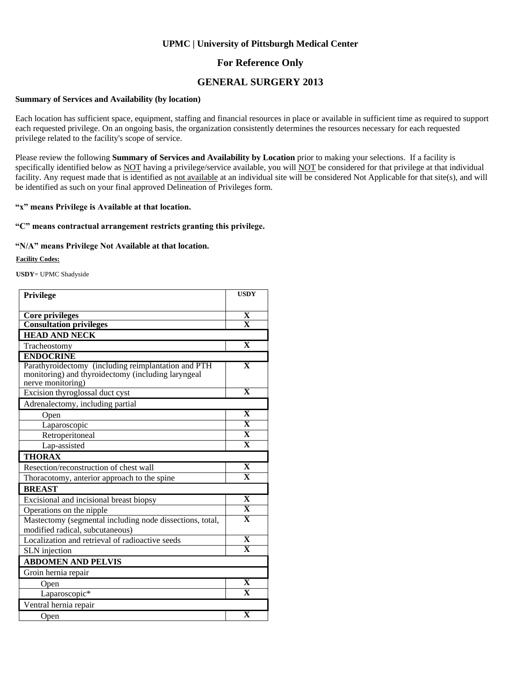### **For Reference Only**

### **GENERAL SURGERY 2013**

#### **Summary of Services and Availability (by location)**

Each location has sufficient space, equipment, staffing and financial resources in place or available in sufficient time as required to support each requested privilege. On an ongoing basis, the organization consistently determines the resources necessary for each requested privilege related to the facility's scope of service.

Please review the following **Summary of Services and Availability by Location** prior to making your selections. If a facility is specifically identified below as NOT having a privilege/service available, you will NOT be considered for that privilege at that individual facility. Any request made that is identified as not available at an individual site will be considered Not Applicable for that site(s), and will be identified as such on your final approved Delineation of Privileges form.

#### **"x" means Privilege is Available at that location.**

#### **"C" means contractual arrangement restricts granting this privilege.**

#### **"N/A" means Privilege Not Available at that location.**

#### **Facility Codes:**

**USDY**= UPMC Shadyside

| Privilege                                                                                                                      | <b>USDY</b>             |
|--------------------------------------------------------------------------------------------------------------------------------|-------------------------|
|                                                                                                                                |                         |
| <b>Core privileges</b>                                                                                                         | X                       |
| <b>Consultation privileges</b>                                                                                                 | $\overline{\mathbf{X}}$ |
| <b>HEAD AND NECK</b>                                                                                                           |                         |
| Tracheostomy                                                                                                                   | $\mathbf X$             |
| <b>ENDOCRINE</b>                                                                                                               |                         |
| Parathyroidectomy (including reimplantation and PTH<br>monitoring) and thyroidectomy (including laryngeal<br>nerve monitoring) | $\overline{\mathbf{X}}$ |
| Excision thyroglossal duct cyst                                                                                                | $\mathbf{x}$            |
| Adrenalectomy, including partial                                                                                               |                         |
| Open                                                                                                                           | $\mathbf X$             |
| Laparoscopic                                                                                                                   | $\overline{\textbf{X}}$ |
| Retroperitoneal                                                                                                                | $\overline{\mathbf{X}}$ |
| Lap-assisted                                                                                                                   | $\overline{\mathbf{x}}$ |
| <b>THORAX</b>                                                                                                                  |                         |
| Resection/reconstruction of chest wall                                                                                         | $\overline{\mathbf{X}}$ |
| Thoracotomy, anterior approach to the spine                                                                                    | $\overline{\mathbf{X}}$ |
| <b>BREAST</b>                                                                                                                  |                         |
| Excisional and incisional breast biopsy                                                                                        | $\mathbf x$             |
| Operations on the nipple                                                                                                       | $\overline{\mathbf{X}}$ |
| Mastectomy (segmental including node dissections, total,<br>modified radical, subcutaneous)                                    | $\overline{\mathbf{X}}$ |
| Localization and retrieval of radioactive seeds                                                                                | $\mathbf X$             |
| SLN injection                                                                                                                  | $\overline{\mathbf{x}}$ |
| <b>ABDOMEN AND PELVIS</b>                                                                                                      |                         |
| Groin hernia repair                                                                                                            |                         |
| Open                                                                                                                           | $\overline{\mathbf{X}}$ |
| Laparoscopic*                                                                                                                  | $\overline{\mathbf{x}}$ |
| Ventral hernia repair                                                                                                          |                         |
| Open                                                                                                                           | $\mathbf X$             |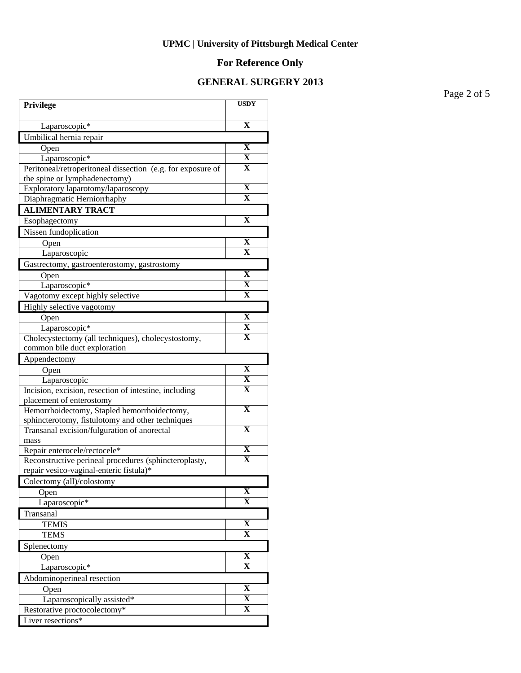# **For Reference Only**

### **GENERAL SURGERY 2013**

Page 2 of 5

| Privilege                                                                                       | <b>USDY</b>             |
|-------------------------------------------------------------------------------------------------|-------------------------|
| Laparoscopic*                                                                                   | $\overline{\mathbf{X}}$ |
| Umbilical hernia repair                                                                         |                         |
| Open                                                                                            | X                       |
| Laparoscopic*                                                                                   | X                       |
| Peritoneal/retroperitoneal dissection (e.g. for exposure of                                     | X                       |
| the spine or lymphadenectomy)                                                                   |                         |
| Exploratory laparotomy/laparoscopy                                                              | $\mathbf X$             |
| Diaphragmatic Herniorrhaphy                                                                     | X                       |
| <b>ALIMENTARY TRACT</b>                                                                         |                         |
| Esophagectomy                                                                                   | $\mathbf X$             |
| Nissen fundoplication                                                                           |                         |
| Open                                                                                            | $\mathbf X$             |
| Laparoscopic                                                                                    | $\mathbf X$             |
| Gastrectomy, gastroenterostomy, gastrostomy                                                     |                         |
| Open                                                                                            | $\mathbf X$             |
| Laparoscopic*                                                                                   | X                       |
| Vagotomy except highly selective                                                                | X                       |
| Highly selective vagotomy                                                                       |                         |
| Open                                                                                            | $\mathbf X$             |
| Laparoscopic*                                                                                   | X                       |
| Cholecystectomy (all techniques), cholecystostomy,                                              | X                       |
| common bile duct exploration                                                                    |                         |
| Appendectomy                                                                                    |                         |
| Open                                                                                            | $\overline{\mathbf{X}}$ |
| Laparoscopic                                                                                    | X                       |
| Incision, excision, resection of intestine, including                                           | $\overline{\mathbf{X}}$ |
| placement of enterostomy                                                                        | $\overline{\mathbf{X}}$ |
| Hemorrhoidectomy, Stapled hemorrhoidectomy,<br>sphincterotomy, fistulotomy and other techniques |                         |
| Transanal excision/fulguration of anorectal                                                     | $\overline{\mathbf{X}}$ |
| mass                                                                                            |                         |
| Repair enterocele/rectocele*                                                                    | X                       |
| Reconstructive perineal procedures (sphincteroplasty,                                           | $\mathbf X$             |
| repair vesico-vaginal-enteric fistula)*                                                         |                         |
| Colectomy (all)/colostomy                                                                       |                         |
| Open                                                                                            | $\mathbf X$             |
| Laparoscopic*                                                                                   | $\mathbf X$             |
| Transanal                                                                                       |                         |
| <b>TEMIS</b>                                                                                    | $\overline{\mathbf{X}}$ |
| <b>TEMS</b>                                                                                     | $\overline{\mathbf{X}}$ |
| Splenectomy                                                                                     |                         |
| Open                                                                                            | $\overline{\mathbf{X}}$ |
| Laparoscopic*                                                                                   | $\mathbf X$             |
| Abdominoperineal resection                                                                      |                         |
| Open                                                                                            | $\overline{\mathbf{X}}$ |
| Laparoscopically assisted*                                                                      | $\overline{\mathbf{X}}$ |
| Restorative proctocolectomy*                                                                    | $\overline{\mathbf{X}}$ |
| Liver resections*                                                                               |                         |
|                                                                                                 |                         |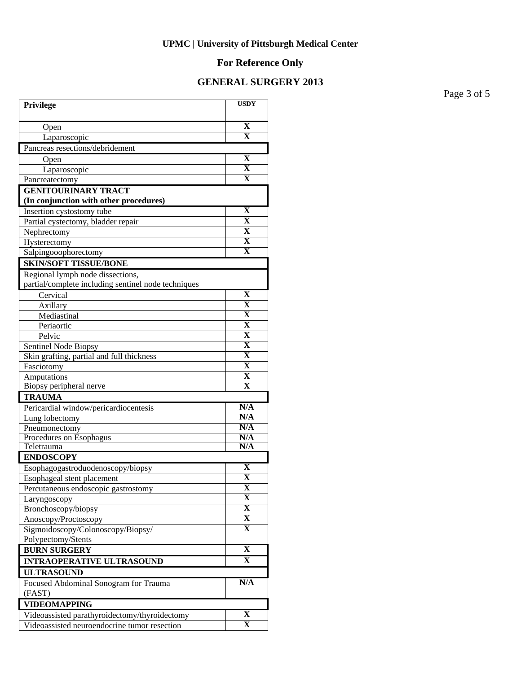# **For Reference Only**

### **GENERAL SURGERY 2013**

Page 3 of 5

| Privilege                                           | <b>USDY</b>             |
|-----------------------------------------------------|-------------------------|
| Open                                                | $\overline{\mathbf{X}}$ |
| Laparoscopic                                        | $\mathbf X$             |
| Pancreas resections/debridement                     |                         |
| Open                                                | $\overline{\mathbf{X}}$ |
| Laparoscopic                                        | $\mathbf X$             |
| Pancreatectomy                                      | $\mathbf X$             |
| <b>GENITOURINARY TRACT</b>                          |                         |
| (In conjunction with other procedures)              |                         |
| Insertion cystostomy tube                           | $\mathbf X$             |
| Partial cystectomy, bladder repair                  | $\mathbf X$             |
| Nephrectomy                                         | $\mathbf X$             |
| Hysterectomy                                        | $\mathbf X$             |
| Salpingooophorectomy                                | $\overline{\mathbf{X}}$ |
| <b>SKIN/SOFT TISSUE/BONE</b>                        |                         |
| Regional lymph node dissections,                    |                         |
| partial/complete including sentinel node techniques |                         |
| Cervical                                            | $\mathbf X$             |
| Axillary                                            | $\mathbf X$             |
| Mediastinal                                         | $\overline{\mathbf{X}}$ |
| Periaortic                                          | $\overline{\mathbf{X}}$ |
| Pelvic                                              | $\overline{\mathbf{X}}$ |
| Sentinel Node Biopsy                                | $\overline{\mathbf{X}}$ |
| Skin grafting, partial and full thickness           | $\overline{\mathbf{X}}$ |
| Fasciotomy                                          | $\overline{\mathbf{X}}$ |
| Amputations                                         | $\overline{\mathbf{X}}$ |
| Biopsy peripheral nerve                             | $\overline{\textbf{X}}$ |
| <b>TRAUMA</b>                                       |                         |
| Pericardial window/pericardiocentesis               | N/A                     |
| Lung lobectomy                                      | N/A<br>N/A              |
| Pneumonectomy                                       | N/A                     |
| Procedures on Esophagus<br>Teletrauma               | N/A                     |
| <b>ENDOSCOPY</b>                                    |                         |
| Esophagogastroduodenoscopy/biopsy                   | X                       |
| Esophageal stent placement                          | $\overline{\mathbf{X}}$ |
| Percutaneous endoscopic gastrostomy                 | X                       |
| Laryngoscopy                                        | $\mathbf X$             |
| Bronchoscopy/biopsy                                 | $\overline{\mathbf{X}}$ |
| Anoscopy/Proctoscopy                                | $\overline{\mathbf{X}}$ |
| Sigmoidoscopy/Colonoscopy/Biopsy/                   | $\mathbf{X}$            |
| Polypectomy/Stents                                  |                         |
| <b>BURN SURGERY</b>                                 | $\overline{\mathbf{X}}$ |
| <b>INTRAOPERATIVE ULTRASOUND</b>                    | X                       |
| <b>ULTRASOUND</b>                                   |                         |
| Focused Abdominal Sonogram for Trauma               | N/A                     |
| (FAST)                                              |                         |
| <b>VIDEOMAPPING</b>                                 |                         |
| Videoassisted parathyroidectomy/thyroidectomy       | $\mathbf X$             |
| Videoassisted neuroendocrine tumor resection        | $\overline{\mathbf{X}}$ |
|                                                     |                         |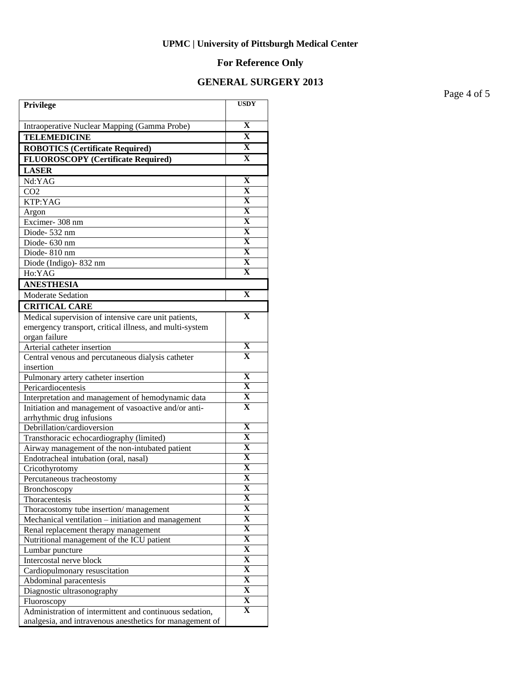# **For Reference Only**

### **GENERAL SURGERY 2013**

Page 4 of 5

| Privilege                                                | <b>USDY</b>                                        |
|----------------------------------------------------------|----------------------------------------------------|
| Intraoperative Nuclear Mapping (Gamma Probe)             | $\overline{\mathbf{X}}$                            |
| <b>TELEMEDICINE</b>                                      | $\overline{\mathbf{X}}$                            |
|                                                          | X                                                  |
| <b>ROBOTICS (Certificate Required)</b>                   | $\overline{\mathbf{X}}$                            |
| <b>FLUOROSCOPY</b> (Certificate Required)                |                                                    |
| <b>LASER</b><br>Nd:YAG                                   | $\mathbf X$                                        |
| CO <sub>2</sub>                                          | $\overline{\mathbf{X}}$                            |
| KTP:YAG                                                  | $\overline{\mathbf{X}}$                            |
| Argon                                                    | $\overline{\mathbf{X}}$                            |
| Excimer-308 nm                                           | $\overline{\mathbf{X}}$                            |
| Diode-532 nm                                             | $\overline{\mathbf{X}}$                            |
| Diode- 630 nm                                            | $\overline{\mathbf{X}}$                            |
| Diode-810 nm                                             | $\overline{\mathbf{X}}$                            |
| Diode (Indigo)-832 nm                                    | $\overline{\mathbf{X}}$                            |
| Ho:YAG                                                   | $\overline{\mathbf{X}}$                            |
| <b>ANESTHESIA</b>                                        |                                                    |
| Moderate Sedation                                        | $\mathbf X$                                        |
| <b>CRITICAL CARE</b>                                     |                                                    |
| Medical supervision of intensive care unit patients,     | $\mathbf X$                                        |
| emergency transport, critical illness, and multi-system  |                                                    |
| organ failure                                            |                                                    |
| Arterial catheter insertion                              | $\mathbf X$                                        |
| Central venous and percutaneous dialysis catheter        | X                                                  |
| insertion                                                |                                                    |
| Pulmonary artery catheter insertion                      | $\overline{\textbf{X}}$                            |
| Pericardiocentesis                                       | $\mathbf X$                                        |
| Interpretation and management of hemodynamic data        | $\mathbf X$                                        |
| Initiation and management of vasoactive and/or anti-     | $\mathbf X$                                        |
| arrhythmic drug infusions                                |                                                    |
| Debrillation/cardioversion                               | $\overline{\textbf{X}}$                            |
| Transthoracic echocardiography (limited)                 | $\overline{\textbf{X}}$<br>$\overline{\textbf{X}}$ |
| Airway management of the non-intubated patient           | $\overline{\textbf{X}}$                            |
| Endotracheal intubation (oral, nasal)                    | $\overline{\textbf{X}}$                            |
| Cricothyrotomy                                           |                                                    |
| Percutaneous tracheostomy                                | A<br>X                                             |
| Bronchoscopy<br>Thoracentesis                            | $\overline{\mathbf{X}}$                            |
| Thoracostomy tube insertion/management                   | $\overline{\mathbf{X}}$                            |
| Mechanical ventilation – initiation and management       | $\overline{\mathbf{X}}$                            |
| Renal replacement therapy management                     | $\overline{\mathbf{X}}$                            |
| Nutritional management of the ICU patient                | $\overline{\mathbf{X}}$                            |
| Lumbar puncture                                          | $\overline{\textbf{X}}$                            |
| Intercostal nerve block                                  | $\overline{\mathbf{X}}$                            |
| Cardiopulmonary resuscitation                            | $\overline{\mathbf{X}}$                            |
| Abdominal paracentesis                                   | $\overline{\mathbf{X}}$                            |
| Diagnostic ultrasonography                               | $\overline{\mathbf{X}}$                            |
| Fluoroscopy                                              | $\overline{\mathbf{X}}$                            |
| Administration of intermittent and continuous sedation,  | X                                                  |
| analgesia, and intravenous anesthetics for management of |                                                    |